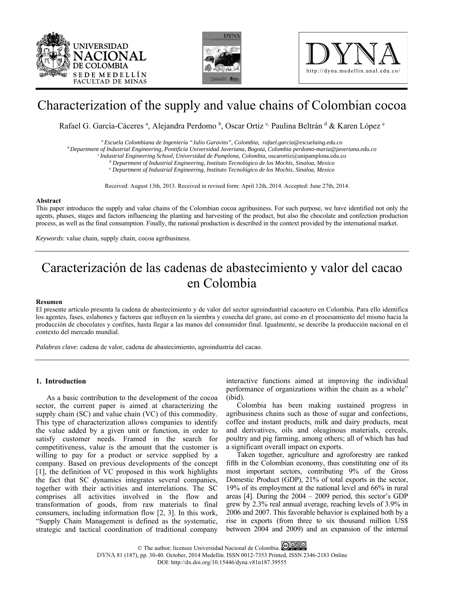





# Characterization of the supply and value chains of Colombian cocoa

Rafael G. García-Cáceres<sup>a</sup>, Alejandra Perdomo <sup>b</sup>, Oscar Ortiz <sup>c,</sup> Paulina Beltrán <sup>d</sup> & Karen López <sup>e</sup>

<sup>a</sup> Escuela Colombiana de Ingeniería "Julio Garavito", Colombia, rafael.garcia@escuelaing.edu.co<br><sup>b</sup> Department of Industrial Engineering, Pontificia Universidad Javeriana, Bogotá, Colombia perdomo-maria@javeriana.edu.co<br>f

<sup>d</sup> Department of Industrial Engineering, Instituto Tecnológico de los Mochis, Sinaloa, Mexico<br><sup>e</sup> Department of Industrial Engineering, Instituto Tecnológico de los Mochis, Sinaloa, Mexico.

 *Department of Industrial Engineering, Instituto Tecnológico de los Mochis, Sinaloa, Mexico* 

Received: August 13th, 2013. Received in revised form: April 12th, 2014. Accepted: June 27th, 2014.

# **Abstract**

This paper introduces the supply and value chains of the Colombian cocoa agribusiness. For such purpose, we have identified not only the agents, phases, stages and factors influencing the planting and harvesting of the product, but also the chocolate and confection production process, as well as the final consumption. Finally, the national production is described in the context provided by the international market.

*Keywords*: value chain, supply chain, cocoa agribusiness.

# Caracterización de las cadenas de abastecimiento y valor del cacao en Colombia

# **Resumen**

El presente artículo presenta la cadena de abastecimiento y de valor del sector agroindustrial cacaotero en Colombia. Para ello identifica los agentes, fases, eslabones y factores que influyen en la siembra y cosecha del grano, así como en el procesamiento del mismo hacia la producción de chocolates y confites, hasta llegar a las manos del consumidor final. Igualmente, se describe la producción nacional en el contexto del mercado mundial.

*Palabras clave*: cadena de valor, cadena de abastecimiento, agroindustria del cacao.

# **1. Introduction**

As a basic contribution to the development of the cocoa sector, the current paper is aimed at characterizing the supply chain (SC) and value chain (VC) of this commodity. This type of characterization allows companies to identify the value added by a given unit or function, in order to satisfy customer needs. Framed in the search for competitiveness, value is the amount that the customer is willing to pay for a product or service supplied by a company. Based on previous developments of the concept [1], the definition of VC proposed in this work highlights the fact that SC dynamics integrates several companies, together with their activities and interrelations. The SC comprises all activities involved in the flow and transformation of goods, from raw materials to final consumers, including information flow [2, 3]. In this work, "Supply Chain Management is defined as the systematic, strategic and tactical coordination of traditional company interactive functions aimed at improving the individual performance of organizations within the chain as a whole" (ibid).

Colombia has been making sustained progress in agribusiness chains such as those of sugar and confections, coffee and instant products, milk and dairy products, meat and derivatives, oils and oleaginous materials, cereals, poultry and pig farming, among others; all of which has had a significant overall impact on exports.

Taken together, agriculture and agroforestry are ranked fifth in the Colombian economy, thus constituting one of its most important sectors, contributing 9% of the Gross Domestic Product (GDP), 21% of total exports in the sector, 19% of its employment at the national level and 66% in rural areas [4]. During the 2004 – 2009 period, this sector's GDP grew by 2.3% real annual average, reaching levels of 3.9% in 2006 and 2007. This favorable behavior is explained both by a rise in exports (from three to six thousand million US\$ between 2004 and 2009) and an expansion of the internal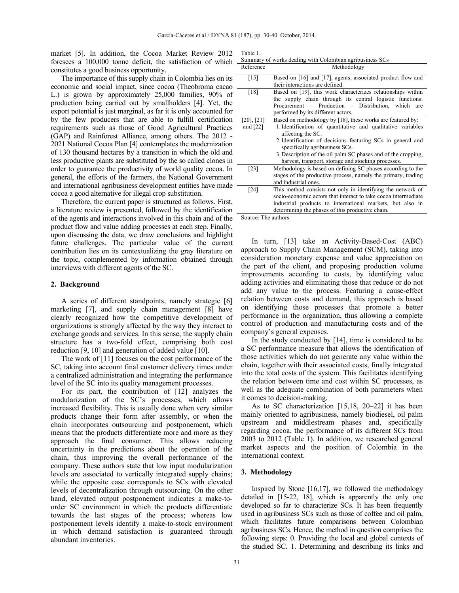$\mathbf T$ 

market [5]. In addition, the Cocoa Market Review 2012 foresees a 100,000 tonne deficit, the satisfaction of which constitutes a good business opportunity.

The importance of this supply chain in Colombia lies on its economic and social impact, since cocoa (Theobroma cacao L.) is grown by approximately 25,000 families, 90% of production being carried out by smallholders [4]. Yet, the export potential is just marginal, as far it is only accounted for by the few producers that are able to fulfill certification requirements such as those of Good Agricultural Practices (GAP) and Rainforest Alliance, among others. The 2012 - 2021 National Cocoa Plan [4] contemplates the modernization of 130 thousand hectares by a transition in which the old and less productive plants are substituted by the so called clones in order to guarantee the productivity of world quality cocoa. In general, the efforts of the farmers, the National Government and international agribusiness development entities have made cocoa a good alternative for illegal crop substitution.

Therefore, the current paper is structured as follows. First, a literature review is presented, followed by the identification of the agents and interactions involved in this chain and of the product flow and value adding processes at each step. Finally, upon discussing the data, we draw conclusions and highlight future challenges. The particular value of the current contribution lies on its contextualizing the gray literature on the topic, complemented by information obtained through interviews with different agents of the SC.

### **2. Background**

A series of different standpoints, namely strategic [6] marketing [7], and supply chain management [8] have clearly recognized how the competitive development of organizations is strongly affected by the way they interact to exchange goods and services. In this sense, the supply chain structure has a two-fold effect, comprising both cost reduction [9, 10] and generation of added value [10].

The work of [11] focuses on the cost performance of the SC, taking into account final customer delivery times under a centralized administration and integrating the performance level of the SC into its quality management processes.

For its part, the contribution of [12] analyzes the modularization of the SC's processes, which allows increased flexibility. This is usually done when very similar products change their form after assembly, or when the chain incorporates outsourcing and postponement, which means that the products differentiate more and more as they approach the final consumer. This allows reducing uncertainty in the predictions about the operation of the chain, thus improving the overall performance of the company. These authors state that low input modularization levels are associated to vertically integrated supply chains; while the opposite case corresponds to SCs with elevated levels of decentralization through outsourcing. On the other hand, elevated output postponement indicates a make-toorder SC environment in which the products differentiate towards the last stages of the process; whereas low postponement levels identify a make-to-stock environment in which demand satisfaction is guaranteed through abundant inventories.

| Table 1.                                                 |  |
|----------------------------------------------------------|--|
| Summary of works dealing with Colombian agribusiness SCs |  |

| Reference       | Methodology                                                                                                             |
|-----------------|-------------------------------------------------------------------------------------------------------------------------|
| $[15]$          | Based on [16] and [17], agents, associated product flow and<br>their interactions are defined.                          |
| [18]            | Based on [19], this work characterizes relationships within<br>the supply chain through its central logistic functions: |
|                 | Procurement – Production – Distribution, which<br>are                                                                   |
|                 | performed by its different actors.                                                                                      |
| $[20]$ , $[21]$ | Based on methodology by [18], these works are featured by:                                                              |
| and $[22]$      | 1. Identification of quantitative and qualitative variables                                                             |
|                 | affecting the SC.                                                                                                       |
|                 | 2. Identification of decisions featuring SCs in general and                                                             |
|                 | specifically agribusiness SCs.                                                                                          |
|                 | 3. Description of the oil palm SC phases and of the cropping,                                                           |
|                 | harvest, transport, storage and stocking processes.                                                                     |
| [23]            | Methodology is based on defining SC phases according to the                                                             |
|                 | stages of the productive process, namely the primary, trading                                                           |
|                 | and industrial ones.                                                                                                    |
| [24]            | This method consists not only in identifying the network of                                                             |
|                 | socio-economic actors that interact to take cocoa intermediate                                                          |
|                 | industrial products to international markets, but also in                                                               |
|                 | determining the phases of this productive chain.                                                                        |

Source: The authors

In turn, [13] take an Activity-Based-Cost (ABC) approach to Supply Chain Management (SCM), taking into consideration monetary expense and value appreciation on the part of the client, and proposing production volume improvements according to costs, by identifying value adding activities and eliminating those that reduce or do not add any value to the process. Featuring a cause-effect relation between costs and demand, this approach is based on identifying those processes that promote a better performance in the organization, thus allowing a complete control of production and manufacturing costs and of the company's general expenses.

In the study conducted by [14], time is considered to be a SC performance measure that allows the identification of those activities which do not generate any value within the chain, together with their associated costs, finally integrated into the total costs of the system. This facilitates identifying the relation between time and cost within SC processes, as well as the adequate combination of both parameters when it comes to decision-making.

As to SC characterization [15,18, 20–22] it has been mainly oriented to agribusiness, namely biodiesel, oil palm upstream and middlestream phases and, specifically regarding cocoa, the performance of its different SCs from 2003 to 2012 (Table 1). In addition, we researched general market aspects and the position of Colombia in the international context.

### **3. Methodology**

Inspired by Stone [16,17], we followed the methodology detailed in [15-22, 18], which is apparently the only one developed so far to characterize SCs. It has been frequently used in agribusiness SCs such as those of coffee and oil palm, which facilitates future comparisons between Colombian agribusiness SCs. Hence, the method in question comprises the following steps: 0. Providing the local and global contexts of the studied SC. 1. Determining and describing its links and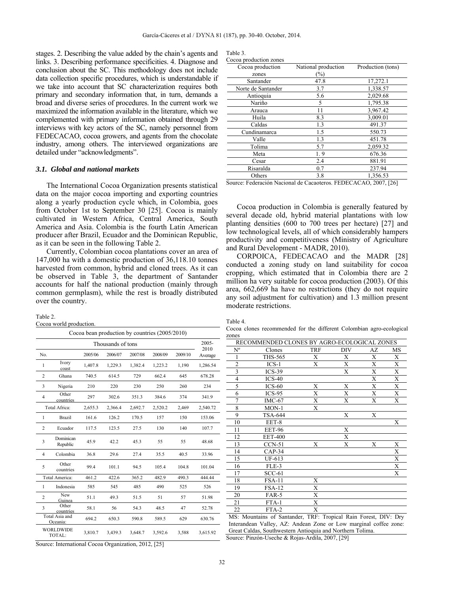stages. 2. Describing the value added by the chain's agents and links. 3. Describing performance specificities. 4. Diagnose and conclusion about the SC. This methodology does not include data collection specific procedures, which is understandable if we take into account that SC characterization requires both primary and secondary information that, in turn, demands a broad and diverse series of procedures. In the current work we maximized the information available in the literature, which we complemented with primary information obtained through 29 interviews with key actors of the SC, namely personnel from FEDECACAO, cocoa growers, and agents from the chocolate industry, among others. The interviewed organizations are detailed under "acknowledgments".

# *3.1. Global and national markets*

The International Cocoa Organization presents statistical data on the major cocoa importing and exporting countries along a yearly production cycle which, in Colombia, goes from October 1st to September 30 [25]. Cocoa is mainly cultivated in Western Africa, Central America, South America and Asia. Colombia is the fourth Latin American producer after Brazil, Ecuador and the Dominican Republic, as it can be seen in the following Table 2.

Currently, Colombian cocoa plantations cover an area of 147,000 ha with a domestic production of 36,118.10 tonnes harvested from common, hybrid and cloned trees. As it can be observed in Table 3, the department of Santander accounts for half the national production (mainly through common germplasm), while the rest is broadly distributed over the country.

| ۹<br>×<br>۰. |  |  |  |
|--------------|--|--|--|
|--------------|--|--|--|

Cocoa world production.

|                         | Cocoa bean production by countries (2005/2010) |         |         |         |         |         |                 |
|-------------------------|------------------------------------------------|---------|---------|---------|---------|---------|-----------------|
|                         | Thousands of tons                              |         |         |         |         | 2005-   |                 |
| No.                     |                                                | 2005/06 | 2006/07 | 2007/08 | 2008/09 | 2009/10 | 2010<br>Average |
| 1                       | Ivory<br>coast                                 | 1,407.8 | 1,229.3 | 1,382.4 | 1,223.2 | 1,190   | 1,286.54        |
| $\overline{c}$          | Ghana                                          | 740.5   | 614.5   | 729     | 662.4   | 645     | 678.28          |
| 3                       | Nigeria                                        | 210     | 220     | 230     | 250     | 260     | 234             |
| $\overline{4}$          | Other<br>countries                             | 297     | 302.6   | 351.3   | 384.6   | 374     | 341.9           |
|                         | Total Africa:                                  | 2,655.3 | 2,366.4 | 2,692.7 | 2,520.2 | 2,469   | 2,540.72        |
| $\mathbf{1}$            | <b>Brazil</b>                                  | 161.6   | 126.2   | 170.5   | 157     | 150     | 153.06          |
| 2                       | Ecuador                                        | 117.5   | 123.5   | 27.5    | 130     | 140     | 107.7           |
| $\overline{\mathbf{3}}$ | Dominican<br>Republic                          | 45.9    | 42.2    | 45.3    | 55      | 55      | 48.68           |
| $\overline{4}$          | Colombia                                       | 36.8    | 29.6    | 27.4    | 35.5    | 40.5    | 33.96           |
| 5                       | Other<br>countries                             | 99.4    | 101.1   | 94.5    | 105.4   | 104.8   | 101.04          |
|                         | Total America:                                 | 461.2   | 422.6   | 365.2   | 482.9   | 490.3   | 444.44          |
| 1                       | Indonesia                                      | 585     | 545     | 485     | 490     | 525     | 526             |
| 2                       | New<br>Guinea                                  | 51.1    | 49.3    | 51.5    | 51      | 57      | 51.98           |
| 3                       | Other<br>countries                             | 58.1    | 56      | 54.3    | 48.5    | 47      | 52.78           |
|                         | Total Asia and<br>Oceania:                     | 694.2   | 650.3   | 590.8   | 589.5   | 629     | 630.76          |
|                         | <b>WORLDWIDE</b><br>TOTAL:                     | 3,810.7 | 3,439.3 | 3,648.7 | 3,592.6 | 3,588   | 3,615.92        |

Table 3.

| Cocoa production zones |  |
|------------------------|--|
|                        |  |

| Cocoa production   | National production | Production (tons) |
|--------------------|---------------------|-------------------|
| zones              | $(\%)$              |                   |
| Santander          | 47.8                | 17,272.1          |
| Norte de Santander | 3.7                 | 1,338.57          |
| Antioquia          | 5.6                 | 2,029.68          |
| Nariño             | 5                   | 1,795.38          |
| Arauca             | 11                  | 3,967.42          |
| Huila              | 8.3                 | 3,009.01          |
| Caldas             | 1.3                 | 491.37            |
| Cundinamarca       | 1.5                 | 550.73            |
| Valle              | 1.3                 | 451.78            |
| Tolima             | 5.7                 | 2,059.32          |
| Meta               | 1.9                 | 676.36            |
| Cesar              | 2.4                 | 881.91            |
| Risaralda          | 0.7                 | 237.94            |
| Others             | 3.8                 | 1,356.53          |

Source: Federación Nacional de Cacaoteros. FEDECACAO, 2007, [26]

Cocoa production in Colombia is generally featured by several decade old, hybrid material plantations with low planting densities (600 to 700 trees per hectare) [27] and low technological levels, all of which considerably hampers productivity and competitiveness (Ministry of Agriculture and Rural Development - MADR, 2010).

CORPOICA, FEDECACAO and the MADR [28] conducted a zoning study on land suitability for cocoa cropping, which estimated that in Colombia there are 2 million ha very suitable for cocoa production (2003). Of this area, 662,669 ha have no restrictions (they do not require any soil adjustment for cultivation) and 1.3 million present moderate restrictions.

Table 4.

|       |  |  | Cocoa clones recommended for the different Colombian agro-ecological |
|-------|--|--|----------------------------------------------------------------------|
| zones |  |  |                                                                      |

|                           | RECOMMENDED CLONES BY AGRO-ECOLOGICAL ZONES |            |     |    |    |
|---------------------------|---------------------------------------------|------------|-----|----|----|
| $\mathrm{N}^{\mathrm{o}}$ | Clones                                      | <b>TRF</b> | DIV | AZ | MS |
| 1                         | <b>THS-565</b>                              | X          | X   | X  | X  |
| $\overline{c}$            | $ICS-1$                                     | X          | X   | X  | X  |
| 3                         | $ICS-39$                                    |            | X   | X  | X  |
| $\overline{4}$            | $ICS-40$                                    |            |     | X  | X  |
| 5                         | $ICS-60$                                    | X          | X   | X  | X  |
| 6                         | $ICS-95$                                    | X          | X   | X  | X  |
| 7                         | IMC-67                                      | X          | X   | X  | X  |
| 8                         | $MON-1$                                     | X          |     |    |    |
| 9                         | <b>TSA-644</b>                              |            | X   | X  |    |
| 10                        | EET-8                                       |            |     |    | X  |
| 11                        | <b>EET-96</b>                               |            | X   |    |    |
| 12                        | <b>EET-400</b>                              |            | X   |    |    |
| 13                        | $CCN-51$                                    | X          | X   | X  | X  |
| 14                        | $CAP-34$                                    |            |     |    | X  |
| 15                        | UF-613                                      |            |     |    | X  |
| 16                        | FLE-3                                       |            |     |    | X  |
| 17                        | $SCC-61$                                    |            |     |    | X  |
| 18                        | <b>FSA-11</b>                               | X          |     |    |    |
| 19                        | <b>FSA-12</b>                               | X          |     |    |    |
| 20                        | FAR-5                                       | X          |     |    |    |
| 21                        | FTA-1                                       | X          |     |    |    |
| 22                        | FTA-2                                       | X          |     |    |    |

MS: Mountains of Santander, TRF: Tropical Rain Forest, DIV: Dry Interandean Valley, AZ: Andean Zone or Low marginal coffee zone: Great Caldas, Southwestern Antioquia and Northern Tolima. Source: Pinzón-Useche & Rojas-Ardila, 2007, [29]

Source: International Cocoa Organization, 2012, [25]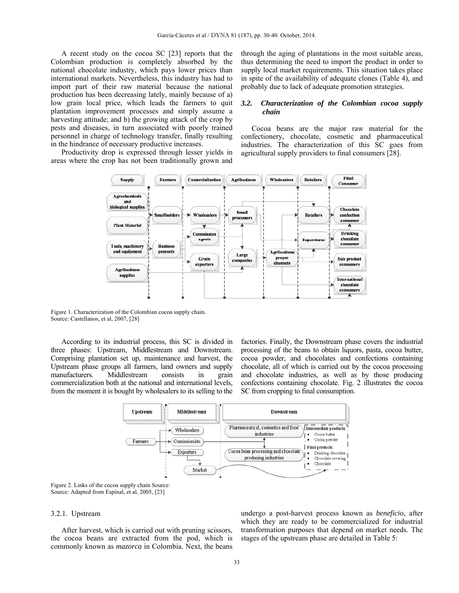A recent study on the cocoa SC [23] reports that the Colombian production is completely absorbed by the national chocolate industry, which pays lower prices than international markets. Nevertheless, this industry has had to import part of their raw material because the national production has been decreasing lately, mainly because of a) low grain local price, which leads the farmers to quit plantation improvement processes and simply assume a harvesting attitude; and b) the growing attack of the crop by pests and diseases, in turn associated with poorly trained personnel in charge of technology transfer, finally resulting in the hindrance of necessary productive increases.

Productivity drop is expressed through lesser yields in areas where the crop has not been traditionally grown and

through the aging of plantations in the most suitable areas, thus determining the need to import the product in order to supply local market requirements. This situation takes place in spite of the availability of adequate clones (Table 4), and probably due to lack of adequate promotion strategies.

# *3.2. Characterization of the Colombian cocoa supply chain*

Cocoa beans are the major raw material for the confectionery, chocolate, cosmetic and pharmaceutical industries. The characterization of this SC goes from agricultural supply providers to final consumers [28].



Figure 1. Characterization of the Colombian cocoa supply chain. Source: Castellanos, et al, 2007, [28]

According to its industrial process, this SC is divided in three phases: Upstream, Middlestream and Downstream. Comprising plantation set up, maintenance and harvest, the Upstream phase groups all farmers, land owners and supply manufacturers. Middlestream consists in grain commercialization both at the national and international levels, from the moment it is bought by wholesalers to its selling to the

factories. Finally, the Downstream phase covers the industrial processing of the beans to obtain liquors, pasta, cocoa butter, cocoa powder, and chocolates and confections containing chocolate, all of which is carried out by the cocoa processing and chocolate industries, as well as by those producing confections containing chocolate. Fig. 2 illustrates the cocoa SC from cropping to final consumption.



Figure 2. Links of the cocoa supply chain Source: Source: Adapted from Espinal, et al, 2005, [23]

#### 3.2.1. Upstream

After harvest, which is carried out with pruning scissors, the cocoa beans are extracted from the pod, which is commonly known as *mazorca* in Colombia. Next, the beans

undergo a post-harvest process known as *beneficio*, after which they are ready to be commercialized for industrial transformation purposes that depend on market needs. The stages of the upstream phase are detailed in Table 5: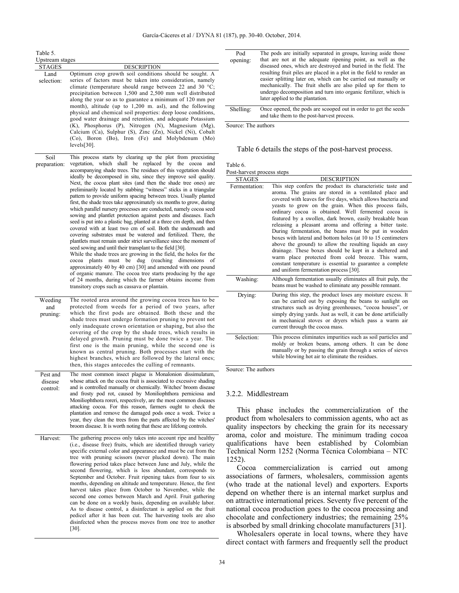| Table 5.                   |                                                                                                                                                                                                                                                                                                                                                                                                                                                                                                                                                                                                                                                                                                                                                                                                                                                                                                                                                                                                                                                                                                                                                                                                                                                                                                                                                                                                                               |  |  |  |  |
|----------------------------|-------------------------------------------------------------------------------------------------------------------------------------------------------------------------------------------------------------------------------------------------------------------------------------------------------------------------------------------------------------------------------------------------------------------------------------------------------------------------------------------------------------------------------------------------------------------------------------------------------------------------------------------------------------------------------------------------------------------------------------------------------------------------------------------------------------------------------------------------------------------------------------------------------------------------------------------------------------------------------------------------------------------------------------------------------------------------------------------------------------------------------------------------------------------------------------------------------------------------------------------------------------------------------------------------------------------------------------------------------------------------------------------------------------------------------|--|--|--|--|
| Upstream stages            |                                                                                                                                                                                                                                                                                                                                                                                                                                                                                                                                                                                                                                                                                                                                                                                                                                                                                                                                                                                                                                                                                                                                                                                                                                                                                                                                                                                                                               |  |  |  |  |
| <b>STAGES</b>              | <b>DESCRIPTION</b>                                                                                                                                                                                                                                                                                                                                                                                                                                                                                                                                                                                                                                                                                                                                                                                                                                                                                                                                                                                                                                                                                                                                                                                                                                                                                                                                                                                                            |  |  |  |  |
| Land<br>selection:         | Optimum crop growth soil conditions should be sought. A<br>series of factors must be taken into consideration, namely<br>climate (temperature should range between 22 and 30 °C;<br>precipitation between 1,500 and 2,500 mm well distributed<br>along the year so as to guarantee a minimum of 120 mm per<br>month), altitude (up to 1,200 m. asl), and the following<br>physical and chemical soil properties: deep loose conditions,<br>good water drainage and retention, and adequate Potassium<br>(K), Phosphorus (P), Nitrogen (N), Magnesium (Mg),<br>Calcium (Ca), Sulphur (S), Zinc (Zn), Nickel (Ni), Cobalt<br>Boron (Bo), Iron (Fe) and Molybdenum<br>(Co).<br>(Mo)<br>$levels[30]$ .                                                                                                                                                                                                                                                                                                                                                                                                                                                                                                                                                                                                                                                                                                                            |  |  |  |  |
| Soil<br>preparation:       | This process starts by clearing up the plot from preexisting<br>vegetation, which<br>shall<br>be replaced by the cocoa<br>and<br>accompanying shade trees. The residues of this vegetation should<br>ideally be decomposed in situ, since they improve soil quality.<br>Next, the cocoa plant sites (and then the shade tree ones) are<br>preliminarily located by stabbing "witness" sticks in a triangular<br>pattern to provide uniform spacing between trees. Usually planted<br>first, the shade trees take approximately six months to grow, during<br>which parallel nursery processes are conducted, namely cocoa seed<br>sowing and plantlet protection against pests and diseases. Each<br>seed is put into a plastic bag, planted at a three cm depth, and then<br>covered with at least two cm of soil. Both the underneath and<br>covering substrates must be watered and fertilized. There, the<br>plantlets must remain under strict surveillance since the moment of<br>seed sowing and until their transplant to the field [30].<br>While the shade trees are growing in the field, the holes for the<br>plants must be dug (reaching dimensions<br>cocoa<br>of<br>approximately 40 by 40 cm) [30] and amended with one pound<br>of organic manure. The cocoa tree starts producing by the age<br>of 24 months, during which the farmer obtains income from<br>transitory crops such as cassava or plantain. |  |  |  |  |
| Weeding<br>and<br>pruning: | The rooted area around the growing cocoa trees has to be<br>protected from weeds for a period of two years, after<br>which the first pods are obtained. Both these and the<br>shade trees must undergo formation pruning to prevent not<br>only inadequate crown orientation or shaping, but also the<br>covering of the crop by the shade trees, which results in<br>delayed growth. Pruning must be done twice a year. The<br>first one is the main pruning, while the second one is                                                                                                                                                                                                                                                                                                                                                                                                                                                                                                                                                                                                                                                                                                                                                                                                                                                                                                                                        |  |  |  |  |

then, this stages antecedes the culling of remnants. Pest and disease control: The most common insect plague is Monalonion dissimulatum, whose attack on the cocoa fruit is associated to excessive shading and is controlled manually or chemically. Witches' broom disease and frosty pod rot, caused by Moniliophthora perniciosa and Moniliophthora roreri, respectively, are the most common diseases attacking cocoa. For this reason, farmers ought to check the plantation and remove the damaged pods once a week. Twice a year, they clean the trees from the parts affected by the witches' broom disease. It is worth noting that these are lifelong controls.

known as central pruning. Both processes start with the highest branches, which are followed by the lateral ones;

Harvest: The gathering process only takes into account ripe and healthy (i.e., disease free) fruits, which are identified through variety specific external color and appearance and must be cut from the tree with pruning scissors (never plucked down). The main flowering period takes place between June and July, while the second flowering, which is less abundant, corresponds to September and October. Fruit ripening takes from four to six months, depending on altitude and temperature. Hence, the first harvest takes place from October to November, while the second one comes between March and April. Fruit gathering can be done on a weekly basis, depending on available labor. As to disease control, a disinfectant is applied on the fruit pedicel after it has been cut. The harvesting tools are also disinfected when the process moves from one tree to another [30].

| Pod      | The pods are initially separated in groups, leaving aside those      |
|----------|----------------------------------------------------------------------|
| opening: | that are not at the adequate ripening point, as well as the          |
|          | diseased ones, which are destroyed and buried in the field. The      |
|          | resulting fruit piles are placed in a plot in the field to render an |
|          | easier splitting later on, which can be carried out manually or      |
|          | mechanically. The fruit shells are also piled up for them to         |
|          | undergo decomposition and turn into organic fertilizer, which is     |
|          | later applied to the plantation.                                     |
|          |                                                                      |

| Shelling: | Once opened, the pods are scooped out in order to get the seeds |
|-----------|-----------------------------------------------------------------|
|           | and take them to the post-harvest process.                      |

Source: The authors

Table 6 details the steps of the post-harvest process.

| Table 6.     |
|--------------|
| Post-harvest |

| Post-harvest process steps |                                                                                                                                                                                                                                                                                                                                                                                                                                                                                                                                                                                                                                                                                                                                                                                                                                        |  |
|----------------------------|----------------------------------------------------------------------------------------------------------------------------------------------------------------------------------------------------------------------------------------------------------------------------------------------------------------------------------------------------------------------------------------------------------------------------------------------------------------------------------------------------------------------------------------------------------------------------------------------------------------------------------------------------------------------------------------------------------------------------------------------------------------------------------------------------------------------------------------|--|
| <b>STAGES</b>              | <b>DESCRIPTION</b>                                                                                                                                                                                                                                                                                                                                                                                                                                                                                                                                                                                                                                                                                                                                                                                                                     |  |
| Fermentation:              | This step confers the product its characteristic taste and<br>aroma. The grains are stored in a ventilated place and<br>covered with leaves for five days, which allows bacteria and<br>yeasts to grow on the grain. When this process fails,<br>ordinary cocoa is obtained. Well fermented cocoa is<br>featured by a swollen, dark brown, easily breakable bean<br>releasing a pleasant aroma and offering a bitter taste.<br>During fermentation, the beans must be put in wooden<br>boxes with lateral and bottom holes (at 10 to 15 centimeters<br>above the ground) to allow the resulting liquids an easy<br>drainage. These boxes should be kept in a sheltered and<br>warm place protected from cold breeze. This warm,<br>constant temperature is essential to guarantee a complete<br>and uniform fermentation process [30]. |  |
| Washing:                   | Although fermentation usually eliminates all fruit pulp, the<br>beans must be washed to eliminate any possible remnant.                                                                                                                                                                                                                                                                                                                                                                                                                                                                                                                                                                                                                                                                                                                |  |
| Drying:                    | During this step, the product loses any moisture excess. It<br>can be carried out by exposing the beans to sunlight on<br>structures such as drying greenhouses, "cocoa houses", or<br>simply drying yards. Just as well, it can be done artificially<br>in mechanical stoves or dryers which pass a warm air<br>current through the cocoa mass.                                                                                                                                                                                                                                                                                                                                                                                                                                                                                       |  |
| Selection:                 | This process eliminates impurities such as soil particles and<br>moldy or broken beans, among others. It can be done<br>manually or by passing the grain through a series of sieves<br>while blowing hot air to eliminate the residues.                                                                                                                                                                                                                                                                                                                                                                                                                                                                                                                                                                                                |  |

Source: The authors

#### 3.2.2. Middlestream

This phase includes the commercialization of the product from wholesalers to commission agents, who act as quality inspectors by checking the grain for its necessary aroma, color and moisture. The minimum trading cocoa qualifications have been established by Colombian Technical Norm 1252 (Norma Técnica Colombiana – NTC 1252).

Cocoa commercialization is carried out among associations of farmers, wholesalers, commission agents (who trade at the national level) and exporters. Exports depend on whether there is an internal market surplus and on attractive international prices. Seventy five percent of the national cocoa production goes to the cocoa processing and chocolate and confectionery industries; the remaining 25% is absorbed by small drinking chocolate manufacturers [31].

Wholesalers operate in local towns, where they have direct contact with farmers and frequently sell the product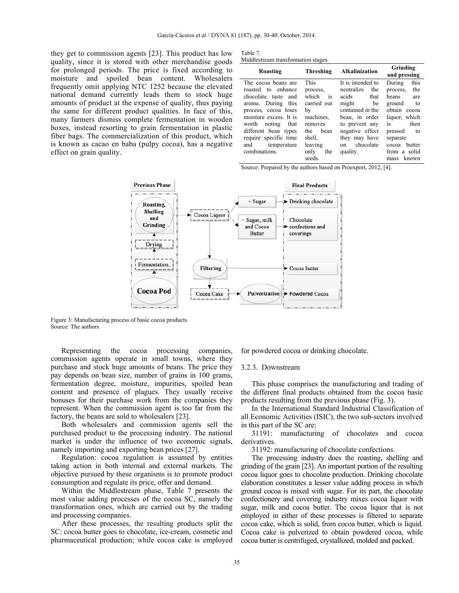they get to commission agents [23]. This product has low quality, since it is stored with other merchandise goods for prolonged periods. The price is fixed according to moisture and spoiled bean content. Wholesalers frequently omit applying NTC 1252 because the elevated national demand currently leads them to stock huge amounts of product at the expense of quality, thus paying the same for different product qualities. In face of this, many farmers dismiss complete fermentation in wooden boxes, instead resorting to grain fermentation in plastic fiber bags. The commercialization of this product, which is known as cacao en baba (pulpy cocoa), has a negative effect on grain quality.

| Table 7.                            |  |
|-------------------------------------|--|
| Middlestream transformation stages. |  |

| Roasting               | <b>Threshing</b>   | <b>Alkalinization</b> | Grinding<br>and pressing |
|------------------------|--------------------|-----------------------|--------------------------|
| The cocoa beans are    | <b>This</b>        | It is intended to     | this<br>During           |
| roasted to enhance     | process,           | neutralize<br>the     | the<br>process.          |
| chocolate taste<br>and | which<br><i>is</i> | acids<br>that         | heans<br>are             |
| aroma. During this     | carried out        | might be              | ground<br>to             |
| process, cocoa loses   | by                 | contained in the      | obtain cocoa             |
| moisture excess. It is | machines.          | bean, in order        | liquor, which            |
| worth noting that      | removes            | to prevent any        | then<br><b>1S</b>        |
| different bean types   | bean<br>the        | negative effect       | pressed<br>to            |
| require specific time  | shell,             | they may have         | separate                 |
| and temperature        | leaving            | chocolate<br>on       | cocoa butter             |
| combinations.          | only<br>the        | quality.              | from a solid             |
|                        | seeds.             |                       | known<br>mass            |

Source: Prepared by the authors based on Proexport, 2012, [4].



Figure 3: Manufacturing process of basic cocoa products Source: The authors

Representing the cocoa processing companies, commission agents operate in small towns, where they purchase and stock huge amounts of beans. The price they pay depends on bean size, number of grains in 100 grams, fermentation degree, moisture, impurities, spoiled bean content and presence of plagues. They usually receive bonuses for their purchase work from the companies they represent. When the commission agent is too far from the factory, the beans are sold to wholesalers [23].

Both wholesalers and commission agents sell the purchased product to the processing industry. The national market is under the influence of two economic signals, namely importing and exporting bean prices [27].

Regulation: cocoa regulation is assumed by entities taking action in both internal and external markets. The objective pursued by these organisms is to promote product consumption and regulate its price, offer and demand.

Within the Middlestream phase, Table 7 presents the most value adding processes of the cocoa SC, namely the transformation ones, which are carried out by the trading and processing companies.

After these processes, the resulting products split the SC: cocoa butter goes to chocolate, ice-cream, cosmetic and pharmaceutical production; while cocoa cake is employed for powdered cocoa or drinking chocolate.

#### 3.2.3. Downstream

This phase comprises the manufacturing and trading of the different final products obtained from the cocoa basic products resulting from the previous phase (Fig. 3).

In the International Standard Industrial Classification of all Economic Activities (ISIC), the two sub-sectors involved in this part of the SC are:

31191: manufacturing of chocolates and cocoa derivatives.

31192: manufacturing of chocolate confections.

The processing industry does the roasting, shelling and grinding of the grain [23]. An important portion of the resulting cocoa liquor goes to chocolate production. Drinking chocolate elaboration constitutes a lesser value adding process in which ground cocoa is mixed with sugar. For its part, the chocolate confectionery and covering industry mixes cocoa liquor with sugar, milk and cocoa butter. The cocoa liquor that is not employed in either of these processes is filtered to separate cocoa cake, which is solid, from cocoa butter, which is liquid. Cocoa cake is pulverized to obtain powdered cocoa, while cocoa butter is centrifuged, crystallized, molded and packed.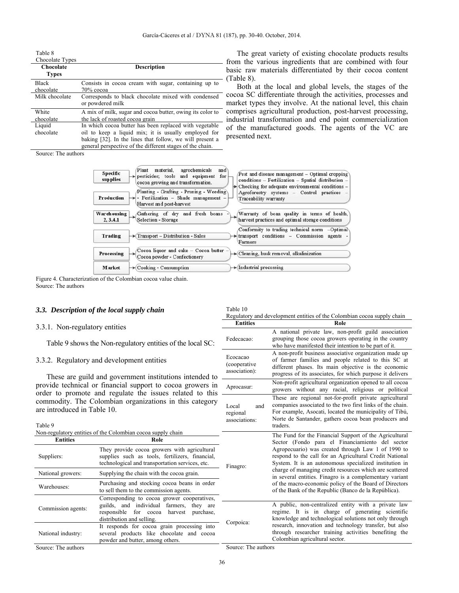(Table 8).

presented next.

| Table 8            |                                                                                              |
|--------------------|----------------------------------------------------------------------------------------------|
| Chocolate Types    |                                                                                              |
| <b>Chocolate</b>   | <b>Description</b>                                                                           |
| <b>Types</b>       |                                                                                              |
| <b>Black</b>       | Consists in cocoa cream with sugar, containing up to                                         |
| chocolate          | 70% cocoa                                                                                    |
| Milk chocolate     | Corresponds to black chocolate mixed with condensed<br>or powdered milk                      |
| White<br>chocolate | A mix of milk, sugar and cocoa butter, owing its color to<br>the lack of roasted cocoa grain |
| Liquid             | In which cocoa butter has been replaced with vegetable                                       |
| chocolate          | oil to keep a liquid mix; it is usually employed for                                         |
|                    | baking [32]. In the lines that follow, we will present a                                     |
|                    | general perspective of the different stages of the chain.                                    |

Source: The authors

| Specific<br>supplies    | material,<br>agrochemicals<br>Plant<br>and<br>pesticides; tools and equipment<br>for<br>cocoa growing and transformation. | Pest and disease management - Optimal cropping<br>conditions - Fertilization - Spatial distribution -<br>Checking for adequate environmental conditions - |
|-------------------------|---------------------------------------------------------------------------------------------------------------------------|-----------------------------------------------------------------------------------------------------------------------------------------------------------|
| Production              | Planting - Grafting - Pruning - Weeding<br>$\rightarrow$ - Fertilization - Shade management -<br>Harvest and post-harvest | Agroforestry systems - Control practices -<br>Traceability warranty                                                                                       |
| Warehousing<br>2, 3.4.1 | Gathering of dry and fresh beans<br>Selection - Storage                                                                   | Warranty of bean quality in terms of health,<br>harvest practices and optimal storage conditions                                                          |
| Trading                 | $\rightarrow$ Transport – Distribution - Sales                                                                            | Conformity to trading technical norm -Optimal<br>$\rightarrow$ transport conditions – Commission<br>agents -<br>Farmers                                   |
| Processing              | Cocoa liquor and cake $-$ Cocoa butter $-$<br>Cocoa powder - Confectionery                                                | Cleaning, husk removal, alkalinization                                                                                                                    |
| Market                  | Cooking - Consumption                                                                                                     | $\rightarrow$ Industrial processing                                                                                                                       |

Figure 4. Characterization of the Colombian cocoa value chain. Source: The authors

# *3.3. Description of the local supply chain*

# 3.3.1. Non-regulatory entities

Table 9 shows the Non-regulatory entities of the local SC:

# 3.3.2. Regulatory and development entities

These are guild and government institutions intended to provide technical or financial support to cocoa growers in order to promote and regulate the issues related to this commodity. The Colombian organizations in this category are introduced in Table 10.

| Table 9                                                     |  |
|-------------------------------------------------------------|--|
| Non-regulatory entities of the Colombian cocoa supply chair |  |
|                                                             |  |

| Table 9            |                                                                                                                                                                 |                                                                                                      | traders.                                                           |
|--------------------|-----------------------------------------------------------------------------------------------------------------------------------------------------------------|------------------------------------------------------------------------------------------------------|--------------------------------------------------------------------|
| <b>Entities</b>    | Non-regulatory entities of the Colombian cocoa supply chain<br>Role                                                                                             |                                                                                                      | The Fund for the Fir<br>Sector (Fondo par                          |
| Suppliers:         | They provide cocoa growers with agricultural<br>supplies such as tools, fertilizers, financial,<br>technological and transportation services, etc.              | Agropecuario) was<br>respond to the call 1<br>System. It is an aut<br>Finagro:<br>charge of managing |                                                                    |
| National growers:  | Supplying the chain with the cocoa grain.                                                                                                                       |                                                                                                      |                                                                    |
| Warehouses:        | Purchasing and stocking cocoa beans in order<br>to sell them to the commission agents.                                                                          |                                                                                                      | of the macro-econom<br>of the Bank of the Re                       |
| Commission agents: | Corresponding to cocoa grower cooperatives,<br>guilds, and individual farmers, they are<br>responsible for cocoa harvest purchase,<br>distribution and selling. |                                                                                                      | A public, non-cent<br>regime. It is in<br>knowledge and techn      |
| National industry: | It responds for cocoa grain processing into<br>several products like chocolate and cocoa<br>powder and butter, among others.                                    | Corpoica:                                                                                            | research, innovation<br>through researcher<br>Colombian agricultur |
| $\sim$<br>cross-   |                                                                                                                                                                 | $\alpha = \pi - 1$                                                                                   |                                                                    |

Source: The authors

Table 10

| Regulatory and development entities of the Colombian cocoa supply chain |  |
|-------------------------------------------------------------------------|--|
|                                                                         |  |

The great variety of existing chocolate products results from the various ingredients that are combined with four basic raw materials differentiated by their cocoa content

Both at the local and global levels, the stages of the cocoa SC differentiate through the activities, processes and market types they involve. At the national level, this chain comprises agricultural production, post-harvest processing, industrial transformation and end point commercialization of the manufactured goods. The agents of the VC are

| Regulatory and development entities of the Colombian cocoa supply chain |                                                                                                                                                                                                                                                                                                                                                                                                                                                                                                                              |  |  |
|-------------------------------------------------------------------------|------------------------------------------------------------------------------------------------------------------------------------------------------------------------------------------------------------------------------------------------------------------------------------------------------------------------------------------------------------------------------------------------------------------------------------------------------------------------------------------------------------------------------|--|--|
| <b>Entities</b>                                                         | Role                                                                                                                                                                                                                                                                                                                                                                                                                                                                                                                         |  |  |
| Fedecacao:                                                              | A national private law, non-profit guild association<br>grouping those cocoa growers operating in the country<br>who have manifested their intention to be part of it.                                                                                                                                                                                                                                                                                                                                                       |  |  |
| Ecocacao<br>(cooperative<br>association):                               | A non-profit business associative organization made up<br>of farmer families and people related to this SC at<br>different phases. Its main objective is the economic<br>progress of its associates, for which purpose it delivers                                                                                                                                                                                                                                                                                           |  |  |
| Aprocasur:                                                              | Non-profit agricultural organization opened to all cocoa<br>growers without any racial, religious or political                                                                                                                                                                                                                                                                                                                                                                                                               |  |  |
| Local<br>and<br>regional<br>associations:                               | These are regional not-for-profit private agricultural<br>companies associated to the two first links of the chain.<br>For example, Asocati, located the municipality of Tibú,<br>Norte de Santander, gathers cocoa bean producers and<br>traders                                                                                                                                                                                                                                                                            |  |  |
| Finagro:                                                                | The Fund for the Financial Support of the Agricultural<br>Sector (Fondo para el Financiamiento del sector<br>Agropecuario) was created through Law 1 of 1990 to<br>respond to the call for an Agricultural Credit National<br>System. It is an autonomous specialized institution in<br>charge of managing credit resources which are scattered<br>in several entities. Finagro is a complementary variant<br>of the macro-economic policy of the Board of Directors<br>of the Bank of the Republic (Banco de la República). |  |  |
| Corpoica:                                                               | A public, non-centralized entity with a private law<br>regime. It is in charge of generating scientific<br>knowledge and technological solutions not only through<br>research, innovation and technology transfer, but also<br>through researcher training activities benefiting the<br>Colombian agricultural sector.                                                                                                                                                                                                       |  |  |

Source: The authors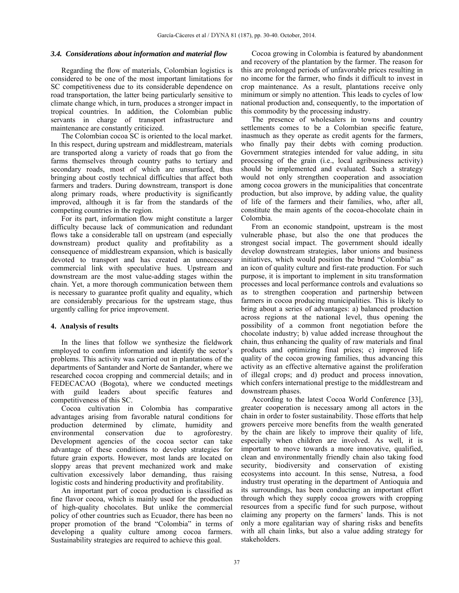# *3.4. Considerations about information and material flow*

Regarding the flow of materials, Colombian logistics is considered to be one of the most important limitations for SC competitiveness due to its considerable dependence on road transportation, the latter being particularly sensitive to climate change which, in turn, produces a stronger impact in tropical countries. In addition, the Colombian public servants in charge of transport infrastructure and maintenance are constantly criticized.

The Colombian cocoa SC is oriented to the local market. In this respect, during upstream and middlestream, materials are transported along a variety of roads that go from the farms themselves through country paths to tertiary and secondary roads, most of which are unsurfaced, thus bringing about costly technical difficulties that affect both farmers and traders. During downstream, transport is done along primary roads, where productivity is significantly improved, although it is far from the standards of the competing countries in the region.

For its part, information flow might constitute a larger difficulty because lack of communication and redundant flows take a considerable tall on upstream (and especially downstream) product quality and profitability as a consequence of middlestream expansion, which is basically devoted to transport and has created an unnecessary commercial link with speculative hues. Upstream and downstream are the most value-adding stages within the chain. Yet, a more thorough communication between them is necessary to guarantee profit quality and equality, which are considerably precarious for the upstream stage, thus urgently calling for price improvement.

# **4. Analysis of results**

In the lines that follow we synthesize the fieldwork employed to confirm information and identify the sector's problems. This activity was carried out in plantations of the departments of Santander and Norte de Santander, where we researched cocoa cropping and commercial details; and in FEDECACAO (Bogota), where we conducted meetings with guild leaders about specific features and competitiveness of this SC.

Cocoa cultivation in Colombia has comparative advantages arising from favorable natural conditions for production determined by climate, humidity and environmental conservation due to agroforestry. Development agencies of the cocoa sector can take advantage of these conditions to develop strategies for future grain exports. However, most lands are located on sloppy areas that prevent mechanized work and make cultivation excessively labor demanding, thus raising logistic costs and hindering productivity and profitability.

An important part of cocoa production is classified as fine flavor cocoa, which is mainly used for the production of high-quality chocolates. But unlike the commercial policy of other countries such as Ecuador, there has been no proper promotion of the brand "Colombia" in terms of developing a quality culture among cocoa farmers. Sustainability strategies are required to achieve this goal.

Cocoa growing in Colombia is featured by abandonment and recovery of the plantation by the farmer. The reason for this are prolonged periods of unfavorable prices resulting in no income for the farmer, who finds it difficult to invest in crop maintenance. As a result, plantations receive only minimum or simply no attention. This leads to cycles of low national production and, consequently, to the importation of this commodity by the processing industry.

The presence of wholesalers in towns and country settlements comes to be a Colombian specific feature, inasmuch as they operate as credit agents for the farmers, who finally pay their debts with coming production. Government strategies intended for value adding, in situ processing of the grain (i.e., local agribusiness activity) should be implemented and evaluated. Such a strategy would not only strengthen cooperation and association among cocoa growers in the municipalities that concentrate production, but also improve, by adding value, the quality of life of the farmers and their families, who, after all, constitute the main agents of the cocoa-chocolate chain in Colombia.

From an economic standpoint, upstream is the most vulnerable phase, but also the one that produces the strongest social impact. The government should ideally develop downstream strategies, labor unions and business initiatives, which would position the brand "Colombia" as an icon of quality culture and first-rate production. For such purpose, it is important to implement in situ transformation processes and local performance controls and evaluations so as to strengthen cooperation and partnership between farmers in cocoa producing municipalities. This is likely to bring about a series of advantages: a) balanced production across regions at the national level, thus opening the possibility of a common front negotiation before the chocolate industry; b) value added increase throughout the chain, thus enhancing the quality of raw materials and final products and optimizing final prices; c) improved life quality of the cocoa growing families, thus advancing this activity as an effective alternative against the proliferation of illegal crops; and d) product and process innovation, which confers international prestige to the middlestream and downstream phases.

According to the latest Cocoa World Conference [33], greater cooperation is necessary among all actors in the chain in order to foster sustainability. Those efforts that help growers perceive more benefits from the wealth generated by the chain are likely to improve their quality of life, especially when children are involved. As well, it is important to move towards a more innovative, qualified, clean and environmentally friendly chain also taking food security, biodiversity and conservation of existing ecosystems into account. In this sense, Nutresa, a food industry trust operating in the department of Antioquia and its surroundings, has been conducting an important effort through which they supply cocoa growers with cropping resources from a specific fund for such purpose, without claiming any property on the farmers' lands. This is not only a more egalitarian way of sharing risks and benefits with all chain links, but also a value adding strategy for stakeholders.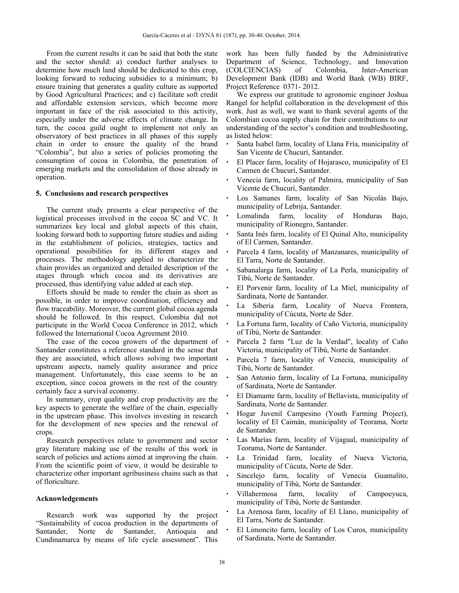From the current results it can be said that both the state and the sector should: a) conduct further analyses to determine how much land should be dedicated to this crop, looking forward to reducing subsidies to a minimum; b) ensure training that generates a quality culture as supported by Good Agricultural Practices; and c) facilitate soft credit and affordable extension services, which become more important in face of the risk associated to this activity, especially under the adverse effects of climate change. In turn, the cocoa guild ought to implement not only an observatory of best practices in all phases of this supply chain in order to ensure the quality of the brand "Colombia", but also a series of policies promoting the consumption of cocoa in Colombia, the penetration of emerging markets and the consolidation of those already in operation.

# **5. Conclusions and research perspectives**

The current study presents a clear perspective of the logistical processes involved in the cocoa SC and VC. It summarizes key local and global aspects of this chain, looking forward both to supporting future studies and aiding in the establishment of policies, strategies, tactics and operational possibilities for its different stages and processes. The methodology applied to characterize the chain provides an organized and detailed description of the stages through which cocoa and its derivatives are processed, thus identifying value added at each step.

Efforts should be made to render the chain as short as possible, in order to improve coordination, efficiency and flow traceability. Moreover, the current global cocoa agenda should be followed. In this respect, Colombia did not participate in the World Cocoa Conference in 2012, which followed the International Cocoa Agreement 2010.

The case of the cocoa growers of the department of Santander constitutes a reference standard in the sense that they are associated, which allows solving two important upstream aspects, namely quality assurance and price management. Unfortunately, this case seems to be an exception, since cocoa growers in the rest of the country certainly face a survival economy.

In summary, crop quality and crop productivity are the key aspects to generate the welfare of the chain, especially in the upstream phase. This involves investing in research for the development of new species and the renewal of crops.

Research perspectives relate to government and sector gray literature making use of the results of this work in search of policies and actions aimed at improving the chain. From the scientific point of view, it would be desirable to characterize other important agribusiness chains such as that of floriculture.

# **Acknowledgements**

Research work was supported by the project "Sustainability of cocoa production in the departments of Santander, Norte de Santander, Antioquia and Cundinamarca by means of life cycle assessment". This

work has been fully funded by the Administrative Department of Science, Technology, and Innovation<br>(COLCIENCIAS) of Colombia, Inter-American (COLCIENCIAS) of Colombia, Inter-American Development Bank (IDB) and World Bank (WB) BIRF, Project Reference 0371- 2012.

We express our gratitude to agronomic engineer Joshua Rangel for helpful collaboration in the development of this work. Just as well, we want to thank several agents of the Colombian cocoa supply chain for their contributions to our understanding of the sector's condition and troubleshooting, as listed below:

- Santa Isabel farm, locality of Llana Fría, municipality of San Vicente de Chucurí, Santander.
- · El Placer farm, locality of Hojarasco, municipality of El Carmen de Chucurí, Santander.
- Venecia farm, locality of Palmira, municipality of San Vicente de Chucurí, Santander.
- Los Samanes farm, locality of San Nicolás Bajo, municipality of Lebrija, Santander.
- Lomalinda farm, locality of Honduras Bajo, municipality of Rionegro, Santander.
- Santa Inés farm, locality of El Quinal Alto, municipality of El Carmen, Santander.
- Parcela 4 farm, locality of Manzanares, municipality of El Tarra, Norte de Santander.
- Sabanalarga farm, locality of La Perla, municipality of Tibú, Norte de Santander.
- El Porvenir farm, locality of La Miel, municipality of Sardinata, Norte de Santander.
- La Siberia farm, Locality of Nueva Frontera, municipality of Cúcuta, Norte de Sder.
- La Fortuna farm, locality of Caño Victoria, municipality of Tibú, Norte de Santander.
- Parcela 2 farm "Luz de la Verdad", locality of Caño Victoria, municipality of Tibú, Norte de Santander.
- · Parcela 7 farm, locality of Venecia, municipality of Tibú, Norte de Santander.
- San Antonio farm, locality of La Fortuna, municipality of Sardinata, Norte de Santander.
- El Diamante farm, locality of Bellavista, municipality of Sardinata, Norte de Santander.
- · Hogar Juvenil Campesino (Youth Farming Project), locality of El Caimán, municipality of Teorama, Norte de Santander.
- Las Marías farm, locality of Vijagual, municipality of Teorama, Norte de Santander.
- La Trinidad farm, locality of Nueva Victoria, municipality of Cúcuta, Norte de Sder.
- Sincelejo farm, locality of Venecia Guamalito, municipality of Tibú, Norte de Santander.
- · Villahermosa farm, locality of Campoeyuca, municipality of Tibú, Norte de Santander.
- La Arenosa farm, locality of El Llano, municipality of El Tarra, Norte de Santander.
- El Limoncito farm, locality of Los Curos, municipality of Sardinata, Norte de Santander.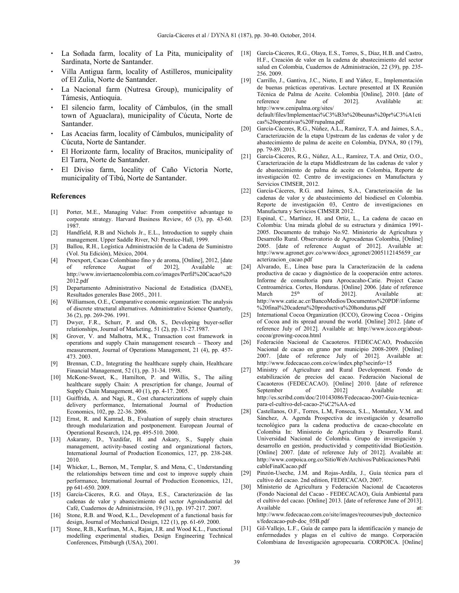- La Soñada farm, locality of La Pita, municipality of Sardinata, Norte de Santander.
- · Villa Antigua farm, locality of Astilleros, municipality of El Zulia, Norte de Santander.
- La Nacional farm (Nutresa Group), municipality of Támesis, Antioquia.
- El silencio farm, locality of Cámbulos, (in the small town of Aguaclara), municipality of Cúcuta, Norte de Santander.
- Las Acacias farm, locality of Cámbulos, municipality of Cúcuta, Norte de Santander.
- El Horizonte farm, locality of Bracitos, municipality of El Tarra, Norte de Santander.
- El Diviso farm, locality of Caño Victoria Norte, municipality of Tibú, Norte de Santander.

#### **References**

- [1] Porter, M.E., Managing Value: From competitive advantage to corporate strategy. Harvard Business Review, 65 (3), pp. 43-60. 1987.
- [2] Handfield, R.B and Nichols Jr., E.L., Introduction to supply chain management. Upper Saddle River, NJ: Prentice-Hall, 1999.
- [3] Ballou, R.H., Logística Administración de la Cadena de Suministro (Vol. 5ta Edición), México, 2004.
- [4] Proexport, Cacao Colombiano fino y de aroma, [Online], 2012, [date of reference August of 2012], Available at: http://www.inviertaencolombia.com.co/images/Perfil%20Cacao%20 2012.pdf
- [5] Departamento Administrativo Nacional de Estadística (DANE), Resultados generales Base 2005., 2011.
- [6] Williamson, O.E., Comparative economic organization: The analysis of discrete structural alternatives. Administrative Science Quarterly, 36 (2), pp. 269-296. 1991.
- [7] Dwyer, F.R., Schurr, P. and Oh, S., Developing buyer-seller relationships, Journal of Marketing, 51 (2), pp. 11-27.1987.
- [8] Grover, V. and Malhotra, M.K., Transaction cost framework in operations and supply Chain management research – Theory and measurement, Journal of Operations Management, 21 (4), pp. 457- 473. 2003.
- [9] Brennan, C.D., Integrating the healthcare supply chain, Healthcare Financial Management, 52 (1), pp. 31-34. 1998.
- [10] McKone-Sweet, K., Hamilton, P. and Willis, S., The ailing healthcare supply Chain: A prescription for change, Journal of Supply Chain Management, 40 (1), pp. 4-17. 2005.
- [11] Guiffrida, A. and Nagi, R., Cost characterizations of supply chain delivery performance, International Journal of Production Economics, 102, pp. 22-36. 2006.
- [12] Ernst, R. and Kamrad, B., Evaluation of supply chain structures through modularization and postponement. European Journal of Operational Research, 124, pp. 495-510. 2000.
- [13] Askarany, D., Yazdifar, H. and Askary, S., Supply chain management, activity-based costing and organizational factors, International Journal of Production Economics, 127, pp. 238-248. 2010.
- [14] Whicker, L., Bernon, M., Templar, S. and Mena, C., Understanding the relationships between time and cost to improve supply chain performance, International Journal of Production Economics, 121, pp 641-650. 2009.
- [15] García-Cáceres, R.G. and Olaya, E.S., Caracterización de las cadenas de valor y abastecimiento del sector Agroindustrial del Café, Cuadernos de Administración, 19 (31), pp. 197-217. 2007.
- [16] Stone, R.B. and Wood, K.L., Development of a functional basis for design, Journal of Mechanical Design, 122 (1), pp. 61-69. 2000.
- [17] Stone, R.B., Kurfman, M.A., Rajan, J.R. and Wood K.L., Functional modelling experimental studies, Design Engineering Technical Conferences, Pittsburgh (USA), 2001.
- [18] García-Cáceres, R.G., Olaya, E.S., Torres, S., Díaz, H.B. and Castro, H.F., Creación de valor en la cadena de abastecimiento del sector salud en Colombia, Cuadernos de Administración, 22 (39), pp. 235- 256. 2009.
- [19] Carrillo, J., Gantiva, J.C., Nieto, E and Yáñez, E., Implementación de buenas prácticas operativas. Lecture presented at IX Reunión Técnica de Palma de Aceite. Colombia [Online], 2010. [date of reference June of 2012]. Avalilable at: http://www.cenipalma.org/sites/ default/files/Implementaci%C3%B3n%20beunas%20pr%C3%A1cti cas%20operativas%20Frupalma.pdf.
- [20] García-Cáceres, R.G., Núñez, A.L., Ramírez, T.A. and Jaimes, S.A., Caracterización de la etapa Upstream de las cadenas de valor y de abastecimiento de palma de aceite en Colombia, DYNA, 80 (179), pp. 79-89. 2013.
- [21] García-Cáceres, R.G., Núñez, A.L., Ramírez, T.A. and Ortiz, O.O., Caracterización de la etapa Middlestream de las cadenas de valor y de abastecimiento de palma de aceite en Colombia, Reporte de investigación 02. Centro de investigaciones en Manufactura y Servicios CIMSER, 2012.
- [22] García-Cáceres, R.G. and Jaimes, S.A., Caracterización de las cadenas de valor y de abastecimiento del biodiesel en Colombia. Reporte de investigación 03, Centro de investigaciones en Manufactura y Servicios CIMSER 2012.
- [23] Espinal, C., Martínez, H. and Ortiz, L., La cadena de cacao en Colombia: Una mirada global de su estructura y dinámica 1991- 2005. Documento de trabajo No.92. Ministerio de Agricultura y Desarrollo Rural. Observatorio de Agrocadenas Colombia, [Online] 2005. [date of reference August of 2012]. Available at: http://www.agronet.gov.co/www/docs\_agronet/2005112145659\_car acterizacion\_cacao.pdf
- [24] Alvarado, E., Línea base para la Caracterización de la cadena productiva de cacao y diagnóstico de la cooperación entre actores. Informe de consultoría para Aprocacaho-Catie. Project Cacao Centroamérica. Cortes, Honduras. [Online] 2006. [date of reference March  $25<sup>th</sup>$  of  $2012$ ]. Available at: http://www.catie.ac.cr/BancoMedios/Documentos%20PDF/informe %20final%20cadena%20productiva%20honduras.pdf
- [25] International Cocoa Organization (ICCO), Growing Cocoa Origins of Cocoa and its spread around the world. [Online] 2012. [date of reference July of 2012]. Available at: http://www.icco.org/aboutcocoa/growing-cocoa.html
- [26] Federación Nacional de Cacaoteros. FEDECACAO, Producción Nacional de cacao en grano por municipio 2008-2009. [Online] 2007. [date of reference July of 2012]. Available at: http://www.fedecacao.com.co/cw/index.php?secinfo=15
- [27] Ministry of Agriculture and Rural Development. Fondo de estabilización de precios del cacao. Federación Nacional de Cacaoteros (FEDECACAO). [Online] 2010. [date of reference September of 20121 Available at: http://es.scribd.com/doc/210143086/Fedecacao-2007-Guia-tecnicapara-el-cultivo-del-cacao-2%C2%AA-ed
- [28] Castellanos, O.F., Torres, L.M, Fonseca, S.L., Montañez, V.M. and Sánchez, A. Agenda Prospectiva de investigación y desarrollo tecnológico para la cadena productiva de cacao-chocolate en Colombia In: Ministerio de Agricultura y Desarrollo Rural. Universidad Nacional de Colombia. Grupo de investigación y desarrollo en gestión, productividad y competitividad BioGestión. [Online] 2007. [date of reference July of 2012]. Available at: http://www.corpoica.org.co/SitioWeb/Archivos/Publicaciones/Publi cableFinalCacao.pdf
- [29] Pinzón-Useche, J.M. and Rojas-Ardila, J., Guía técnica para el cultivo del cacao. 2nd edition, FEDECACAO, 2007.
- [30] Ministerio de Agricultura y Federación Nacional de Cacaoteros (Fondo Nacional del Cacao - FEDECACAO), Guía Ambiental para el cultivo del cacao. [Online] 2013. [date of reference June of 2013]. Available at: http://www.fedecacao.com.co/site/images/recourses/pub\_doctecnico s/fedecacao-pub-doc\_05B.pdf
- [31] Gil-Vallejo, L.F., Guía de campo para la identificación y manejo de enfermedades y plagas en el cultivo de mango. Corporación Colombiana de Investigación agropecuaria. CORPOICA. [Online]